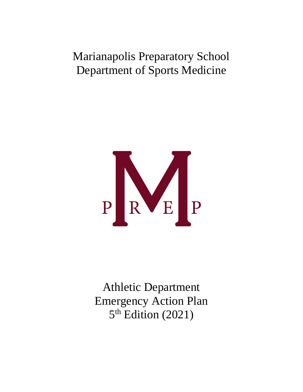# Marianapolis Preparatory School Department of Sports Medicine



Athletic Department Emergency Action Plan 5<sup>th</sup> Edition (2021)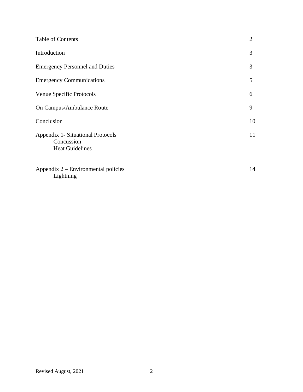| Table of Contents                                                                | $\overline{2}$ |
|----------------------------------------------------------------------------------|----------------|
| Introduction                                                                     | 3              |
| <b>Emergency Personnel and Duties</b>                                            | 3              |
| <b>Emergency Communications</b>                                                  | 5              |
| Venue Specific Protocols                                                         | 6              |
| On Campus/Ambulance Route                                                        | 9              |
| Conclusion                                                                       | 10             |
| <b>Appendix 1- Situational Protocols</b><br>Concussion<br><b>Heat Guidelines</b> | 11             |
| Appendix 2 – Environmental policies<br>Lightning                                 | 14             |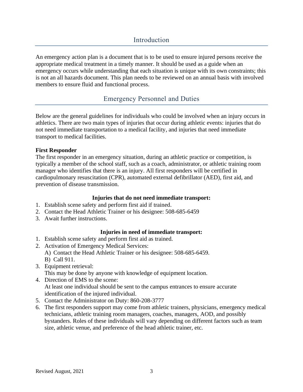# Introduction

An emergency action plan is a document that is to be used to ensure injured persons receive the appropriate medical treatment in a timely manner. It should be used as a guide when an emergency occurs while understanding that each situation is unique with its own constraints; this is not an all hazards document. This plan needs to be reviewed on an annual basis with involved members to ensure fluid and functional process.

# Emergency Personnel and Duties

Below are the general guidelines for individuals who could be involved when an injury occurs in athletics. There are two main types of injuries that occur during athletic events: injuries that do not need immediate transportation to a medical facility, and injuries that need immediate transport to medical facilities.

# **First Responder**

The first responder in an emergency situation, during an athletic practice or competition, is typically a member of the school staff, such as a coach, administrator, or athletic training room manager who identifies that there is an injury. All first responders will be certified in cardiopulmonary resuscitation (CPR), automated external defibrillator (AED), first aid, and prevention of disease transmission.

## **Injuries that do not need immediate transport:**

- 1. Establish scene safety and perform first aid if trained.
- 2. Contact the Head Athletic Trainer or his designee: 508-685-6459
- 3. Await further instructions.

# **Injuries in need of immediate transport:**

- 1. Establish scene safety and perform first aid as trained.
- 2. Activation of Emergency Medical Services:
	- A) Contact the Head Athletic Trainer or his designee: 508-685-6459. B) Call 911.
- 3. Equipment retrieval: This may be done by anyone with knowledge of equipment location.
- 4. Direction of EMS to the scene: At least one individual should be sent to the campus entrances to ensure accurate identification of the injured individual.
- 5. Contact the Administrator on Duty: 860-208-3777
- 6. The first responders support may come from athletic trainers, physicians, emergency medical technicians, athletic training room managers, coaches, managers, AOD, and possibly bystanders. Roles of these individuals will vary depending on different factors such as team size, athletic venue, and preference of the head athletic trainer, etc.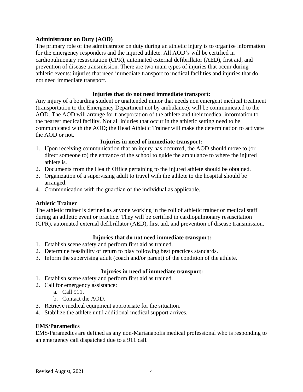## **Administrator on Duty (AOD)**

The primary role of the administrator on duty during an athletic injury is to organize information for the emergency responders and the injured athlete. All AOD's will be certified in cardiopulmonary resuscitation (CPR), automated external defibrillator (AED), first aid, and prevention of disease transmission. There are two main types of injuries that occur during athletic events: injuries that need immediate transport to medical facilities and injuries that do not need immediate transport.

## **Injuries that do not need immediate transport:**

Any injury of a boarding student or unattended minor that needs non emergent medical treatment (transportation to the Emergency Department not by ambulance), will be communicated to the AOD. The AOD will arrange for transportation of the athlete and their medical information to the nearest medical facility. Not all injuries that occur in the athletic setting need to be communicated with the AOD; the Head Athletic Trainer will make the determination to activate the AOD or not.

#### **Injuries in need of immediate transport:**

- 1. Upon receiving communication that an injury has occurred, the AOD should move to (or direct someone to) the entrance of the school to guide the ambulance to where the injured athlete is.
- 2. Documents from the Health Office pertaining to the injured athlete should be obtained.
- 3. Organization of a supervising adult to travel with the athlete to the hospital should be arranged.
- 4. Communication with the guardian of the individual as applicable.

# **Athletic Trainer**

The athletic trainer is defined as anyone working in the roll of athletic trainer or medical staff during an athletic event or practice. They will be certified in cardiopulmonary resuscitation (CPR), automated external defibrillator (AED), first aid, and prevention of disease transmission.

# **Injuries that do not need immediate transport:**

- 1. Establish scene safety and perform first aid as trained.
- 2. Determine feasibility of return to play following best practices standards.
- 3. Inform the supervising adult (coach and/or parent) of the condition of the athlete.

# **Injuries in need of immediate transport:**

- 1. Establish scene safety and perform first aid as trained.
- 2. Call for emergency assistance:
- a. Call 911.
	- b. Contact the AOD.
- 3. Retrieve medical equipment appropriate for the situation.
- 4. Stabilize the athlete until additional medical support arrives.

#### **EMS/Paramedics**

EMS/Paramedics are defined as any non-Marianapolis medical professional who is responding to an emergency call dispatched due to a 911 call.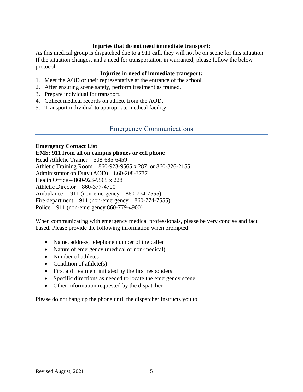## **Injuries that do not need immediate transport:**

As this medical group is dispatched due to a 911 call, they will not be on scene for this situation. If the situation changes, and a need for transportation in warranted, please follow the below protocol.

# **Injuries in need of immediate transport:**

- 1. Meet the AOD or their representative at the entrance of the school.
- 2. After ensuring scene safety, perform treatment as trained.
- 3. Prepare individual for transport.
- 4. Collect medical records on athlete from the AOD.
- 5. Transport individual to appropriate medical facility.

# Emergency Communications

# **Emergency Contact List**

# **EMS: 911 from all on campus phones or cell phone**

Head Athletic Trainer – 508-685-6459 Athletic Training Room – 860-923-9565 x 287 or 860-326-2155 Administrator on Duty (AOD) – 860-208-3777 Health Office – 860-923-9565 x 228 Athletic Director – 860-377-4700 Ambulance – 911 (non-emergency – 860-774-7555) Fire department  $-911$  (non-emergency  $-860-774-7555$ ) Police – 911 (non-emergency 860-779-4900)

When communicating with emergency medical professionals, please be very concise and fact based. Please provide the following information when prompted:

- Name, address, telephone number of the caller
- Nature of emergency (medical or non-medical)
- Number of athletes
- Condition of athlete $(s)$
- First aid treatment initiated by the first responders
- Specific directions as needed to locate the emergency scene
- Other information requested by the dispatcher

Please do not hang up the phone until the dispatcher instructs you to.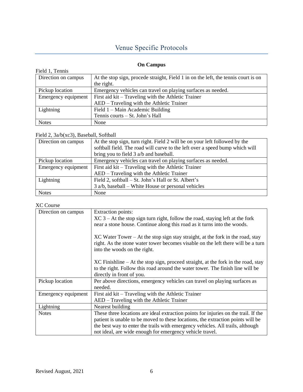# Venue Specific Protocols

# **On Campus**

| Field 1, Tennis     |                                                                                    |
|---------------------|------------------------------------------------------------------------------------|
| Direction on campus | At the stop sign, procede straight, Field 1 in on the left, the tennis court is on |
|                     | the right.                                                                         |
| Pickup location     | Emergency vehicles can travel on playing surfaces as needed.                       |
| Emergency equipment | First aid kit – Traveling with the Athletic Trainer                                |
|                     | AED – Traveling with the Athletic Trainer                                          |
| Lightning           | Field $1 -$ Main Academic Building                                                 |
|                     | Tennis courts – St. John's Hall                                                    |
| <b>Notes</b>        | None                                                                               |

#### Field 2, 3a/b(xc3), Baseball, Softball

| Direction on campus | At the stop sign, turn right. Field 2 will be on your left followed by the   |
|---------------------|------------------------------------------------------------------------------|
|                     | softball field. The road will curve to the left over a speed bump which will |
|                     | bring you to field 3 a/b and baseball.                                       |
| Pickup location     | Emergency vehicles can travel on playing surfaces as needed.                 |
| Emergency equipment | First aid kit – Traveling with the Athletic Trainer                          |
|                     | AED – Traveling with the Athletic Trainer                                    |
| Lightning           | Field 2, softball – St. John's Hall or St. Albert's                          |
|                     | $3$ a/b, baseball – White House or personal vehicles                         |
| <b>Notes</b>        | None                                                                         |

# XC Course

| Direction on campus | <b>Extraction points:</b>                                                           |
|---------------------|-------------------------------------------------------------------------------------|
|                     | $XC$ 3 – At the stop sign turn right, follow the road, staying left at the fork     |
|                     | near a stone house. Continue along this road as it turns into the woods.            |
|                     |                                                                                     |
|                     | $XC$ Water Tower – At the stop sign stay straight, at the fork in the road, stay    |
|                     | right. As the stone water tower becomes visable on the left there will be a turn    |
|                     | into the woods on the right.                                                        |
|                     |                                                                                     |
|                     | $XC$ Finishline – At the stop sign, proceed straight, at the fork in the road, stay |
|                     | to the right. Follow this road around the water tower. The finish line will be      |
|                     | directly in front of you.                                                           |
| Pickup location     | Per above directions, emergency vehicles can travel on playing surfaces as          |
|                     | needed.                                                                             |
| Emergency equipment | First aid kit – Traveling with the Athletic Trainer                                 |
|                     | AED – Traveling with the Athletic Trainer                                           |
| Lightning           | Nearest building                                                                    |
| <b>Notes</b>        | These three locations are ideal extraction points for injuries on the trail. If the |
|                     | patient is unable to be moved to these locations, the extraction points will be     |
|                     | the best way to enter the trails with emergency vehicles. All trails, although      |
|                     | not ideal, are wide enough for emergency vehicle travel.                            |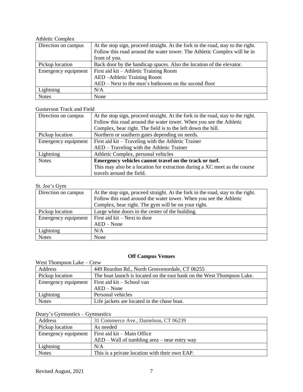#### Athletic Complex

| Direction on campus | At the stop sign, proceed straight. At the fork in the road, stay to the right. |
|---------------------|---------------------------------------------------------------------------------|
|                     | Follow this road around the water tower. The Athletic Complex will be in        |
|                     | front of you.                                                                   |
| Pickup location     | Back door by the handicap spaces. Also the location of the elevator.            |
| Emergency equipment | First aid kit – Athletic Training Room                                          |
|                     | AED-Athletic Training Room                                                      |
|                     | AED – Next to the men's bathroom on the second floor                            |
| Lightning           | N/A                                                                             |
| <b>Notes</b>        | None                                                                            |

## Gustavson Track and Field

| Direction on campus | At the stop sign, proceed straight. At the fork in the road, stay to the right.<br>Follow this road around the water tower. When you see the Athletic |
|---------------------|-------------------------------------------------------------------------------------------------------------------------------------------------------|
|                     | Complex, bear right. The field is to the left down the hill.                                                                                          |
| Pickup location     | Northern or southern gates depending on needs.                                                                                                        |
| Emergency equipment | First aid kit – Traveling with the Athletic Trainer                                                                                                   |
|                     | AED – Traveling with the Athletic Trainer                                                                                                             |
| Lightning           | Athletic Complex, personal vehicles                                                                                                                   |
| <b>Notes</b>        | Emergency vehicles cannot travel on the track or turf.                                                                                                |
|                     | This may also be a location for extraction during a XC meet as the course                                                                             |
|                     | travels around the field.                                                                                                                             |

# St. Joe's Gym

| Direction on campus | At the stop sign, proceed straight. At the fork in the road, stay to the right. |
|---------------------|---------------------------------------------------------------------------------|
|                     | Follow this road around the water tower. When you see the Athletic              |
|                     | Complex, bear right. The gym will be on your right.                             |
| Pickup location     | Large white doors in the center of the building.                                |
| Emergency equipment | First aid kit – Next to door                                                    |
|                     | $AED - None$                                                                    |
| Lightning           | N/A                                                                             |
| <b>Notes</b>        | None                                                                            |

# **Off Campus Venues**

| West Thompson Lake $-$ Crew |                                                                        |  |
|-----------------------------|------------------------------------------------------------------------|--|
| Address                     | 449 Reardon Rd., North Grosvenordale, CT 06255                         |  |
| Pickup location             | The boat launch is located on the east bank on the West Thompson Lake. |  |
| Emergency equipment         | First aid kit – School van                                             |  |
|                             | $AED - None$                                                           |  |
| Lightning                   | Personal vehicles                                                      |  |
| <b>Notes</b>                | Life jackets are located in the chase boat.                            |  |

# Deary's Gymnastics – Gymnastics

| Address         | 31 Commerce Ave., Danielson, CT 06239                   |
|-----------------|---------------------------------------------------------|
| Pickup location | As needed                                               |
|                 | Emergency equipment $\vert$ First aid kit – Main Office |
|                 | $AED - Wall$ of tumbling area $-$ near entry way        |
| Lightning       | N/A                                                     |
| <b>Notes</b>    | This is a private location with their own EAP.          |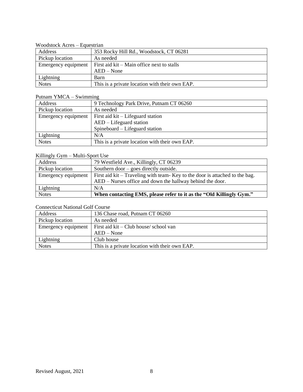| WOODSLOCK $ACIES = LUUESU1dH$ |                                                |
|-------------------------------|------------------------------------------------|
| Address                       | 353 Rocky Hill Rd., Woodstock, CT 06281        |
| Pickup location               | As needed                                      |
| Emergency equipment           | First aid $kit - Main$ office next to stalls   |
|                               | $AED - None$                                   |
| Lightning                     | Barn                                           |
| <b>Notes</b>                  | This is a private location with their own EAP. |

# Woodstock Acres – Equestrian

# Putnam YMCA – Swimming

| Address             | 9 Technology Park Drive, Putnam CT 06260       |
|---------------------|------------------------------------------------|
| Pickup location     | As needed                                      |
| Emergency equipment | First aid kit – Lifeguard station              |
|                     | $AED - Lifeguard station$                      |
|                     | Spineboard – Lifeguard station                 |
| Lightning           | N/A                                            |
| <b>Notes</b>        | This is a private location with their own EAP. |

# Killingly Gym – Multi-Sport Use

| Address             | 79 Westfield Ave., Killingly, CT 06239                                       |
|---------------------|------------------------------------------------------------------------------|
| Pickup location     | Southern door $-$ goes directly outside.                                     |
| Emergency equipment | First aid kit – Traveling with team- Key to the door is attached to the bag. |
|                     | AED – Nurses office and down the hallway behind the door.                    |
| Lightning           | N/A                                                                          |
| <b>Notes</b>        | When contacting EMS, please refer to it as the "Old Killingly Gym."          |

# Connecticut National Golf Course

| Address             | 136 Chase road, Putnam CT 06260                |  |
|---------------------|------------------------------------------------|--|
| Pickup location     | As needed                                      |  |
| Emergency equipment | First aid $kit - Club$ house/ school van       |  |
|                     | $AED - None$                                   |  |
| Lightning           | Club house                                     |  |
| <b>Notes</b>        | This is a private location with their own EAP. |  |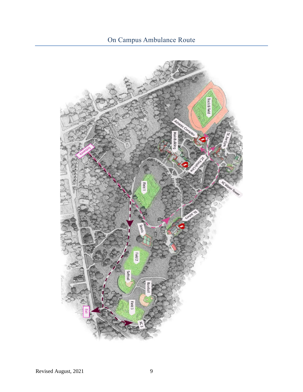# On Campus Ambulance Route

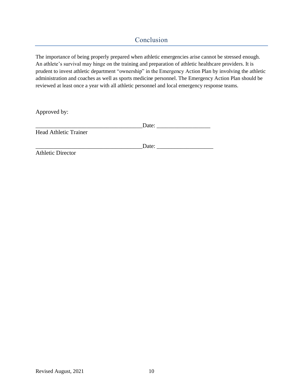# Conclusion

The importance of being properly prepared when athletic emergencies arise cannot be stressed enough. An athlete's survival may hinge on the training and preparation of athletic healthcare providers. It is prudent to invest athletic department "ownership" in the Emergency Action Plan by involving the athletic administration and coaches as well as sports medicine personnel. The Emergency Action Plan should be reviewed at least once a year with all athletic personnel and local emergency response teams.

Approved by:

|                              | Date: |  |
|------------------------------|-------|--|
| <b>Head Athletic Trainer</b> |       |  |

\_\_\_\_\_\_\_\_\_\_\_\_\_\_\_\_\_\_\_\_\_\_\_\_\_\_\_\_\_\_\_\_\_\_\_\_Date: \_\_\_\_\_\_\_\_\_\_\_\_\_\_\_\_\_\_\_

Athletic Director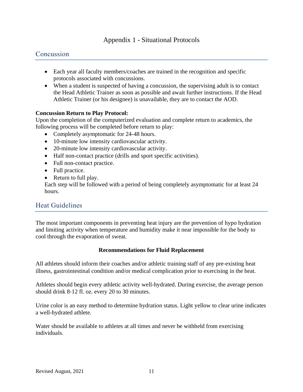# Appendix 1 - Situational Protocols

# **Concussion**

- Each year all faculty members/coaches are trained in the recognition and specific protocols associated with concussions.
- When a student is suspected of having a concussion, the supervising adult is to contact the Head Athletic Trainer as soon as possible and await further instructions. If the Head Athletic Trainer (or his designee) is unavailable, they are to contact the AOD.

# **Concussion Return to Play Protocol:**

Upon the completion of the computerized evaluation and complete return to academics, the following process will be completed before return to play:

- Completely asymptomatic for 24-48 hours.
- 10-minute low intensity cardiovascular activity.
- 20-minute low intensity cardiovascular activity.
- Half non-contact practice (drills and sport specific activities).
- Full non-contact practice.
- Full practice.
- Return to full play.

Each step will be followed with a period of being completely asymptomatic for at least 24 hours.

# Heat Guidelines

The most important components in preventing heat injury are the prevention of hypo hydration and limiting activity when temperature and humidity make it near impossible for the body to cool through the evaporation of sweat.

#### **Recommendations for Fluid Replacement**

All athletes should inform their coaches and/or athletic training staff of any pre‐existing heat illness, gastrointestinal condition and/or medical complication prior to exercising in the heat.

Athletes should begin every athletic activity well-hydrated. During exercise, the average person should drink 8‐12 fl. oz. every 20 to 30 minutes.

Urine color is an easy method to determine hydration status. Light yellow to clear urine indicates a well-hydrated athlete.

Water should be available to athletes at all times and never be withheld from exercising individuals.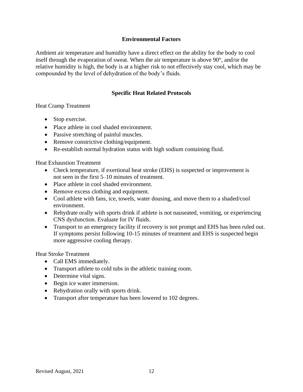# **Environmental Factors**

Ambient air temperature and humidity have a direct effect on the ability for the body to cool itself through the evaporation of sweat. When the air temperature is above 90°, and/or the relative humidity is high, the body is at a higher risk to not effectively stay cool, which may be compounded by the level of dehydration of the body's fluids.

# **Specific Heat Related Protocols**

Heat Cramp Treatment

- Stop exercise.
- Place athlete in cool shaded environment.
- Passive stretching of painful muscles.
- Remove constrictive clothing/equipment.
- Re-establish normal hydration status with high sodium containing fluid.

Heat Exhaustion Treatment

- Check temperature, if exertional heat stroke (EHS) is suspected or improvement is not seen in the first 5–10 minutes of treatment.
- Place athlete in cool shaded environment.
- Remove excess clothing and equipment.
- Cool athlete with fans, ice, towels, water dousing, and move them to a shaded/cool environment.
- Rehydrate orally with sports drink if athlete is not nauseated, vomiting, or experiencing CNS dysfunction. Evaluate for IV fluids.
- Transport to an emergency facility if recovery is not prompt and EHS has been ruled out. If symptoms persist following 10-15 minutes of treatment and EHS is suspected begin more aggressive cooling therapy.

Heat Stroke Treatment

- Call EMS immediately.
- Transport athlete to cold tubs in the athletic training room.
- Determine vital signs.
- Begin ice water immersion.
- Rehydration orally with sports drink.
- Transport after temperature has been lowered to 102 degrees.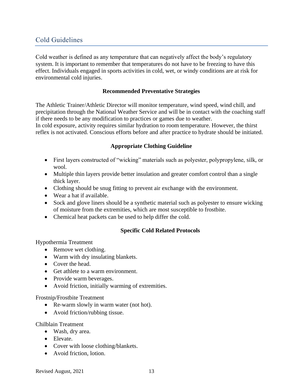# Cold Guidelines

Cold weather is defined as any temperature that can negatively affect the body's regulatory system. It is important to remember that temperatures do not have to be freezing to have this effect. Individuals engaged in sports activities in cold, wet, or windy conditions are at risk for environmental cold injuries.

## **Recommended Preventative Strategies**

The Athletic Trainer/Athletic Director will monitor temperature, wind speed, wind chill, and precipitation through the National Weather Service and will be in contact with the coaching staff if there needs to be any modification to practices or games due to weather.

In cold exposure, activity requires similar hydration to room temperature. However, the thirst reflex is not activated. Conscious efforts before and after practice to hydrate should be initiated.

# **Appropriate Clothing Guideline**

- First layers constructed of "wicking" materials such as polyester, polypropylene, silk, or wool.
- Multiple thin layers provide better insulation and greater comfort control than a single thick layer.
- Clothing should be snug fitting to prevent air exchange with the environment.
- Wear a hat if available.
- Sock and glove liners should be a synthetic material such as polyester to ensure wicking of moisture from the extremities, which are most susceptible to frostbite.
- Chemical heat packets can be used to help differ the cold.

#### **Specific Cold Related Protocols**

Hypothermia Treatment

- Remove wet clothing.
- Warm with dry insulating blankets.
- Cover the head.
- Get athlete to a warm environment.
- Provide warm beverages.
- Avoid friction, initially warming of extremities.

#### Frostnip/Frostbite Treatment

- Re-warm slowly in warm water (not hot).
- Avoid friction/rubbing tissue.

#### Chilblain Treatment

- Wash, dry area.
- Elevate.
- Cover with loose clothing/blankets.
- Avoid friction, lotion.